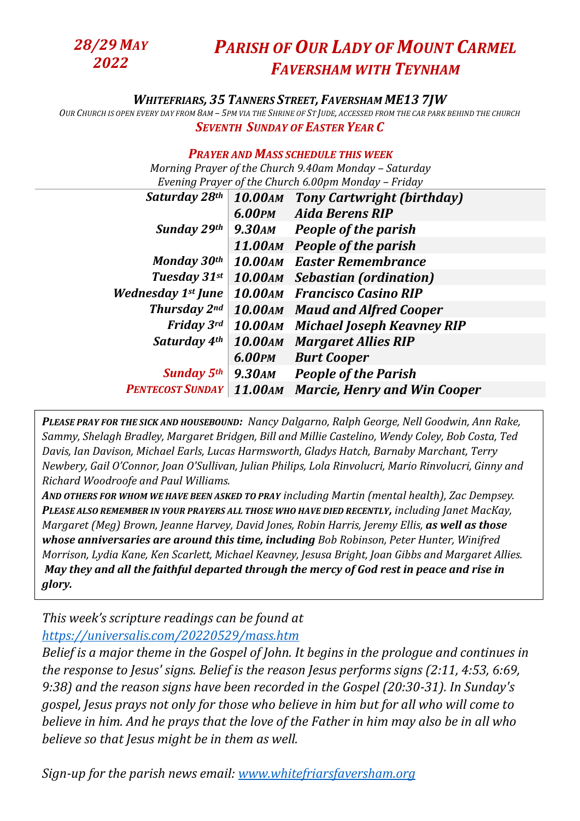*28/29 MAY 2022*

## *PARISH OF OUR LADY OF MOUNT CARMEL FAVERSHAM WITH TEYNHAM*

## *WHITEFRIARS, 35 TANNERS STREET, FAVERSHAM ME13 7JW*

OUR CHURCH IS OPEN EVERY DAY FROM 8AM - 5PM VIA THE SHRINE OF ST JUDE, ACCESSED FROM THE CAR PARK BEHIND THE CHURCH *SEVENTH SUNDAY OF EASTER YEAR C*

## *PRAYER AND MASS SCHEDULE THIS WEEK*

*Morning Prayer of the Church 9.40am Monday – Saturday Evening Prayer of the Church 6.00pm Monday – Friday* 

| Saturday 28th             | <b>10.00 AM</b> | <b>Tony Cartwright (birthday)</b>     |
|---------------------------|-----------------|---------------------------------------|
|                           |                 | 6.00PM Aida Berens RIP                |
| Sunday 29th               | 9.30am          | <b>People of the parish</b>           |
|                           |                 | 11.00AM People of the parish          |
| Monday 30th               |                 | <b>10.00AM</b> Easter Remembrance     |
| Tuesday 31st              |                 | <b>10.00AM</b> Sebastian (ordination) |
| <b>Wednesday 1st June</b> |                 | 10.00AM Francisco Casino RIP          |
| <b>Thursday 2nd</b>       |                 | <b>10.00AM</b> Maud and Alfred Cooper |
| <b>Friday 3rd</b>         |                 | 10.00AM Michael Joseph Keavney RIP    |
| Saturday 4th              |                 | <b>10.00AM Margaret Allies RIP</b>    |
|                           | 6.00PM          | <b>Burt Cooper</b>                    |
| <b>Sunday 5th</b>         | 9.30ам          | <b>People of the Parish</b>           |
| <b>PENTECOST SUNDAY</b>   | <b>11.00 AM</b> | <b>Marcie, Henry and Win Cooper</b>   |

*PLEASE PRAY FOR THE SICK AND HOUSEBOUND: Nancy Dalgarno, Ralph George, Nell Goodwin, Ann Rake, Sammy, Shelagh Bradley, Margaret Bridgen, Bill and Millie Castelino, Wendy Coley, Bob Costa, Ted Davis, Ian Davison, Michael Earls, Lucas Harmsworth, Gladys Hatch, Barnaby Marchant, Terry Newbery, Gail O'Connor, Joan O'Sullivan, Julian Philips, Lola Rinvolucri, Mario Rinvolucri, Ginny and Richard Woodroofe and Paul Williams.* 

*AND OTHERS FOR WHOM WE HAVE BEEN ASKED TO PRAY including Martin (mental health), Zac Dempsey. PLEASE ALSO REMEMBER IN YOUR PRAYERS ALL THOSE WHO HAVE DIED RECENTLY, including Janet MacKay, Margaret (Meg) Brown, Jeanne Harvey, David Jones, Robin Harris, Jeremy Ellis, as well as those whose anniversaries are around this time, including Bob Robinson, Peter Hunter, Winifred Morrison, Lydia Kane, Ken Scarlett, Michael Keavney, Jesusa Bright, Joan Gibbs and Margaret Allies. May they and all the faithful departed through the mercy of God rest in peace and rise in glory.*

*This week's scripture readings can be found at <https://universalis.com/20220529/mass.htm>*

*Belief is a major theme in the Gospel of John. It begins in the prologue and continues in the response to Jesus' signs. Belief is the reason Jesus performs signs (2:11, 4:53, 6:69, 9:38) and the reason signs have been recorded in the Gospel (20:30-31). In Sunday's gospel, Jesus prays not only for those who believe in him but for all who will come to believe in him. And he prays that the love of the Father in him may also be in all who believe so that Jesus might be in them as well.*

*Sign-up for the parish news email: [www.whitefriarsfaversham.org](http://www.whitefriarsfaversham.org/)*